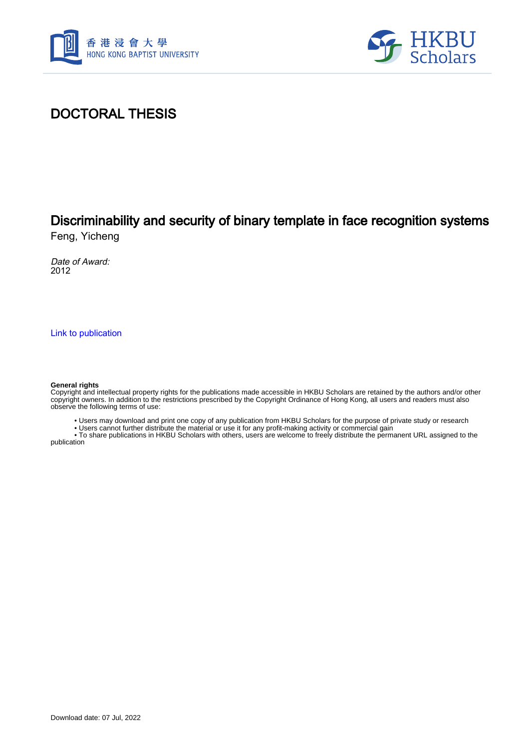



### DOCTORAL THESIS

## Discriminability and security of binary template in face recognition systems

Feng, Yicheng

Date of Award: 2012

[Link to publication](https://scholars.hkbu.edu.hk/en/studentTheses/f93284d3-970d-426e-bdc3-dab5ccbe78a2)

#### **General rights**

Copyright and intellectual property rights for the publications made accessible in HKBU Scholars are retained by the authors and/or other copyright owners. In addition to the restrictions prescribed by the Copyright Ordinance of Hong Kong, all users and readers must also observe the following terms of use:

• Users may download and print one copy of any publication from HKBU Scholars for the purpose of private study or research

• Users cannot further distribute the material or use it for any profit-making activity or commercial gain

 • To share publications in HKBU Scholars with others, users are welcome to freely distribute the permanent URL assigned to the publication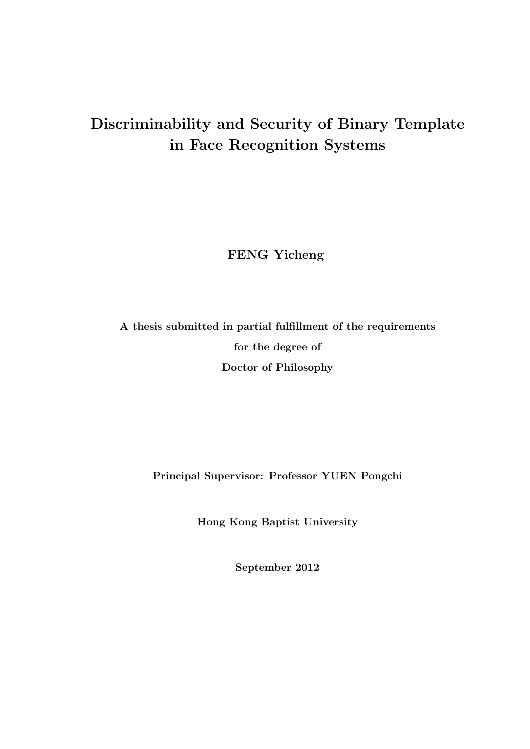## **Discriminability and Security of Binary Template in Face Recognition Systems**

**FENG Yicheng**

**A thesis submitted in partial fulfillment of the requirements for the degree of Doctor of Philosophy**

**Principal Supervisor: Professor YUEN Pongchi**

**Hong Kong Baptist University**

**September 2012**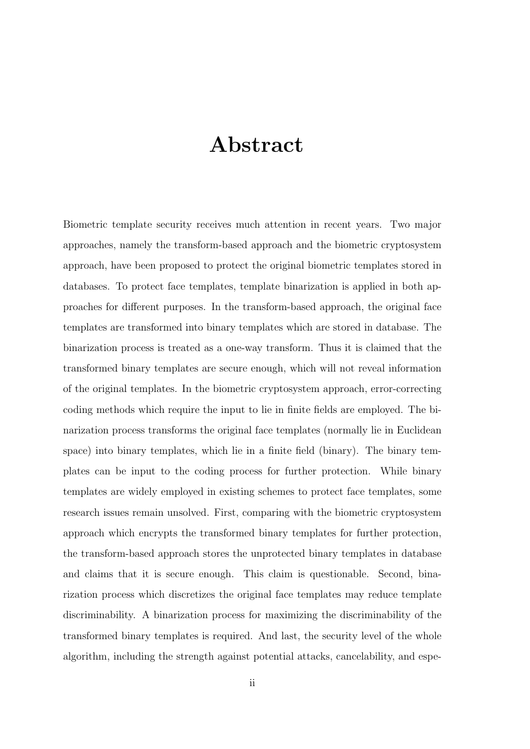## **Abstract**

Biometric template security receives much attention in recent years. Two major approaches, namely the transform-based approach and the biometric cryptosystem approach, have been proposed to protect the original biometric templates stored in databases. To protect face templates, template binarization is applied in both approaches for different purposes. In the transform-based approach, the original face templates are transformed into binary templates which are stored in database. The binarization process is treated as a one-way transform. Thus it is claimed that the transformed binary templates are secure enough, which will not reveal information of the original templates. In the biometric cryptosystem approach, error-correcting coding methods which require the input to lie in finite fields are employed. The binarization process transforms the original face templates (normally lie in Euclidean space) into binary templates, which lie in a finite field (binary). The binary templates can be input to the coding process for further protection. While binary templates are widely employed in existing schemes to protect face templates, some research issues remain unsolved. First, comparing with the biometric cryptosystem approach which encrypts the transformed binary templates for further protection, the transform-based approach stores the unprotected binary templates in database and claims that it is secure enough. This claim is questionable. Second, binarization process which discretizes the original face templates may reduce template discriminability. A binarization process for maximizing the discriminability of the transformed binary templates is required. And last, the security level of the whole algorithm, including the strength against potential attacks, cancelability, and espe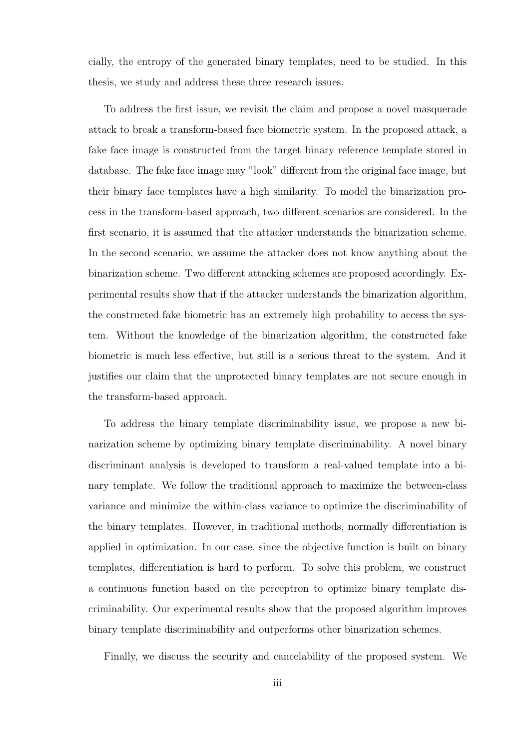cially, the entropy of the generated binary templates, need to be studied. In this thesis, we study and address these three research issues.

To address the first issue, we revisit the claim and propose a novel masquerade attack to break a transform-based face biometric system. In the proposed attack, a fake face image is constructed from the target binary reference template stored in database. The fake face image may "look" different from the original face image, but their binary face templates have a high similarity. To model the binarization process in the transform-based approach, two different scenarios are considered. In the first scenario, it is assumed that the attacker understands the binarization scheme. In the second scenario, we assume the attacker does not know anything about the binarization scheme. Two different attacking schemes are proposed accordingly. Experimental results show that if the attacker understands the binarization algorithm, the constructed fake biometric has an extremely high probability to access the system. Without the knowledge of the binarization algorithm, the constructed fake biometric is much less effective, but still is a serious threat to the system. And it justifies our claim that the unprotected binary templates are not secure enough in the transform-based approach.

To address the binary template discriminability issue, we propose a new binarization scheme by optimizing binary template discriminability. A novel binary discriminant analysis is developed to transform a real-valued template into a binary template. We follow the traditional approach to maximize the between-class variance and minimize the within-class variance to optimize the discriminability of the binary templates. However, in traditional methods, normally differentiation is applied in optimization. In our case, since the objective function is built on binary templates, differentiation is hard to perform. To solve this problem, we construct a continuous function based on the perceptron to optimize binary template discriminability. Our experimental results show that the proposed algorithm improves binary template discriminability and outperforms other binarization schemes.

Finally, we discuss the security and cancelability of the proposed system. We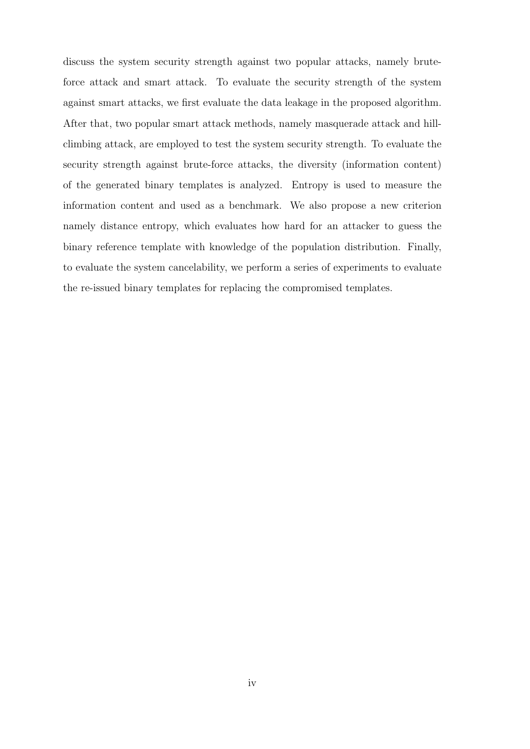discuss the system security strength against two popular attacks, namely bruteforce attack and smart attack. To evaluate the security strength of the system against smart attacks, we first evaluate the data leakage in the proposed algorithm. After that, two popular smart attack methods, namely masquerade attack and hillclimbing attack, are employed to test the system security strength. To evaluate the security strength against brute-force attacks, the diversity (information content) of the generated binary templates is analyzed. Entropy is used to measure the information content and used as a benchmark. We also propose a new criterion namely distance entropy, which evaluates how hard for an attacker to guess the binary reference template with knowledge of the population distribution. Finally, to evaluate the system cancelability, we perform a series of experiments to evaluate the re-issued binary templates for replacing the compromised templates.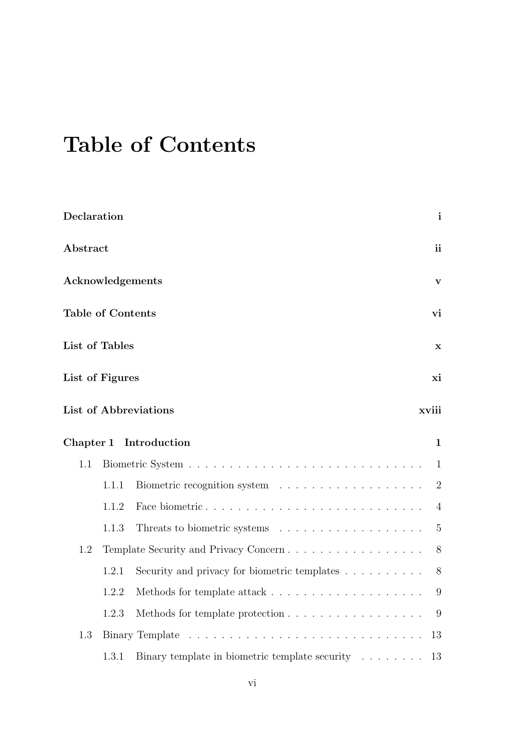# **Table of Contents**

| Declaration              | $\mathbf{i}$ |
|--------------------------|--------------|
| Abstract                 | ii           |
| Acknowledgements         | $\mathbf v$  |
| <b>Table of Contents</b> | vi           |
| List of Tables           | $\mathbf X$  |
| List of Figures          | xi           |
| List of Abbreviations    | xviii        |

|         |       | Chapter 1 Introduction                                                     | $\mathbf{1}$ |
|---------|-------|----------------------------------------------------------------------------|--------------|
| 1.1     |       |                                                                            |              |
|         | 1.1.1 |                                                                            |              |
|         | 1.1.2 |                                                                            |              |
|         | 1.1.3 | Threats to biometric systems $\ldots \ldots \ldots \ldots \ldots \ldots$ 5 |              |
| $1.2\,$ |       |                                                                            |              |
|         | 1.2.1 | Security and privacy for biometric templates $\ldots \ldots \ldots$ 8      |              |
|         | 1.2.2 | Methods for template attack $\dots \dots \dots \dots \dots \dots \dots$    |              |
|         | 1.2.3 | Methods for template protection 9                                          |              |
| 1.3     |       |                                                                            |              |
|         | 1.3.1 | Binary template in biometric template security $\ldots \ldots \ldots$ 13   |              |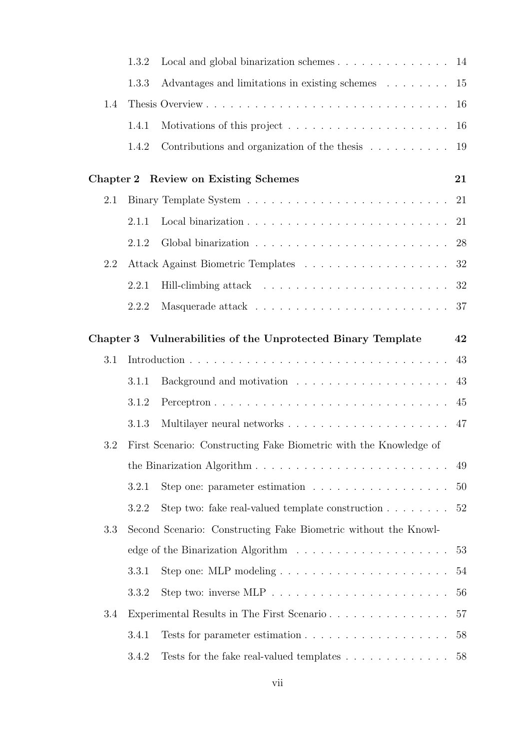|     | 1.3.2 |                                                                                        |    |
|-----|-------|----------------------------------------------------------------------------------------|----|
|     | 1.3.3 | Advantages and limitations in existing schemes                                         | 15 |
| 1.4 |       |                                                                                        | 16 |
|     | 1.4.1 | Motivations of this project $\ldots \ldots \ldots \ldots \ldots \ldots \ldots 16$      |    |
|     | 1.4.2 | Contributions and organization of the thesis $\dots \dots \dots \dots$ 19              |    |
|     |       | Chapter 2 Review on Existing Schemes                                                   | 21 |
| 2.1 |       |                                                                                        | 21 |
|     | 2.1.1 | Local binarization $\ldots \ldots \ldots \ldots \ldots \ldots \ldots \ldots \ldots 21$ |    |
|     | 2.1.2 |                                                                                        |    |
| 2.2 |       |                                                                                        | 32 |
|     | 2.2.1 |                                                                                        | 32 |
|     | 2.2.2 |                                                                                        | 37 |
|     |       | Chapter 3 Vulnerabilities of the Unprotected Binary Template                           | 42 |
| 3.1 |       |                                                                                        | 43 |
|     | 3.1.1 |                                                                                        | 43 |
|     | 3.1.2 |                                                                                        |    |
|     | 3.1.3 |                                                                                        |    |
| 3.2 |       | First Scenario: Constructing Fake Biometric with the Knowledge of                      |    |
|     |       |                                                                                        | 49 |
|     | 3.2.1 | Step one: parameter estimation $\ldots \ldots \ldots \ldots \ldots$                    | 50 |
|     | 3.2.2 | Step two: fake real-valued template construction $\ldots \ldots \ldots$ 52             |    |
| 3.3 |       | Second Scenario: Constructing Fake Biometric without the Knowl-                        |    |
|     |       |                                                                                        | 53 |
|     | 3.3.1 |                                                                                        | 54 |
|     | 3.3.2 | Step two: inverse MLP $\ldots \ldots \ldots \ldots \ldots \ldots \ldots \ldots$        | 56 |
| 3.4 |       |                                                                                        | 57 |
|     | 3.4.1 |                                                                                        | 58 |
|     | 3.4.2 | Tests for the fake real-valued templates $\ldots \ldots \ldots \ldots$                 | 58 |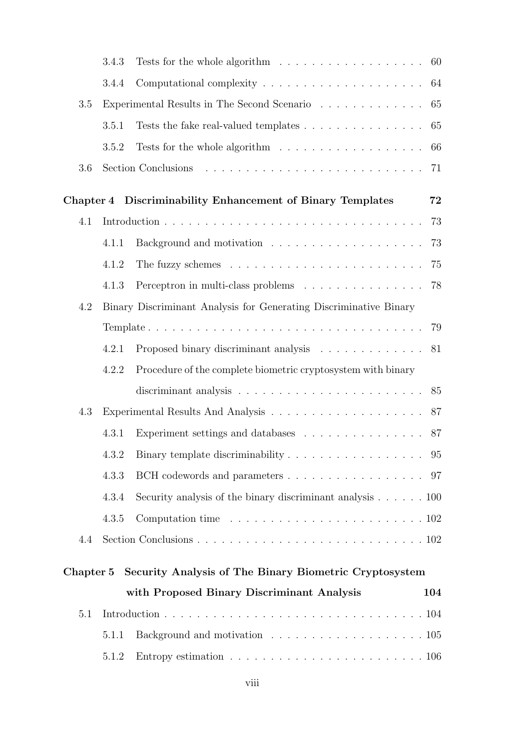|           | 3.4.3 | Tests for the whole algorithm $\ldots \ldots \ldots \ldots \ldots$                      | 60  |
|-----------|-------|-----------------------------------------------------------------------------------------|-----|
|           | 3.4.4 |                                                                                         | 64  |
| 3.5       |       | Experimental Results in The Second Scenario $\ldots \ldots \ldots \ldots$               | 65  |
|           | 3.5.1 | Tests the fake real-valued templates                                                    | 65  |
|           | 3.5.2 | Tests for the whole algorithm $\ldots \ldots \ldots \ldots \ldots$                      | 66  |
| 3.6       |       |                                                                                         | 71  |
|           |       | Chapter 4 Discriminability Enhancement of Binary Templates                              | 72  |
| 4.1       |       |                                                                                         | 73  |
|           | 4.1.1 |                                                                                         | 73  |
|           | 4.1.2 |                                                                                         | 75  |
|           | 4.1.3 | Perceptron in multi-class problems $\ldots \ldots \ldots \ldots \ldots$                 | 78  |
| 4.2       |       | Binary Discriminant Analysis for Generating Discriminative Binary                       |     |
|           |       |                                                                                         | 79  |
|           | 4.2.1 |                                                                                         | 81  |
|           | 4.2.2 | Procedure of the complete biometric cryptosystem with binary                            |     |
|           |       | discriminant analysis $\ldots \ldots \ldots \ldots \ldots \ldots \ldots \ldots$ 85      |     |
| 4.3       |       |                                                                                         | 87  |
|           | 4.3.1 | Experiment settings and databases                                                       | 87  |
|           |       | 4.3.2 Binary template discriminability 95                                               |     |
|           | 4.3.3 |                                                                                         |     |
|           | 4.3.4 | Security analysis of the binary discriminant analysis $\ldots \ldots \ldots 100$        |     |
|           | 4.3.5 | Computation time $\ldots \ldots \ldots \ldots \ldots \ldots \ldots \ldots \ldots 102$   |     |
| 4.4       |       |                                                                                         |     |
| Chapter 5 |       | Security Analysis of The Binary Biometric Cryptosystem                                  |     |
|           |       | with Proposed Binary Discriminant Analysis                                              | 104 |
| 5.1       |       |                                                                                         |     |
|           | 5.1.1 |                                                                                         |     |
|           | 5.1.2 | Entropy estimation $\ldots \ldots \ldots \ldots \ldots \ldots \ldots \ldots \ldots 106$ |     |